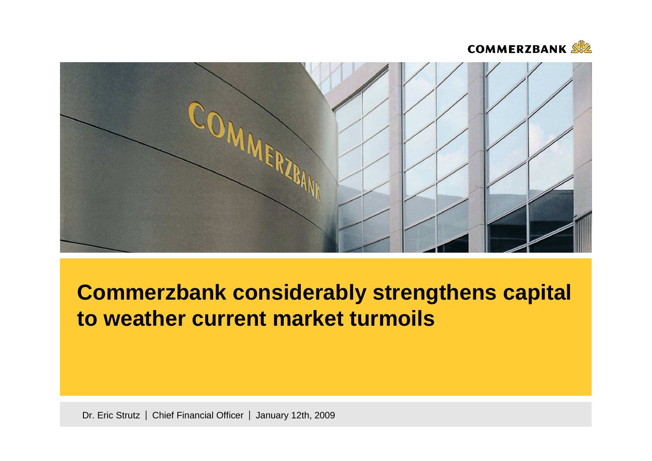



# **Commerzbank considerably strengthens capital to weather current market turmoils**

Dr. Eric Strutz | Chief Financial Officer | January 12th, 2009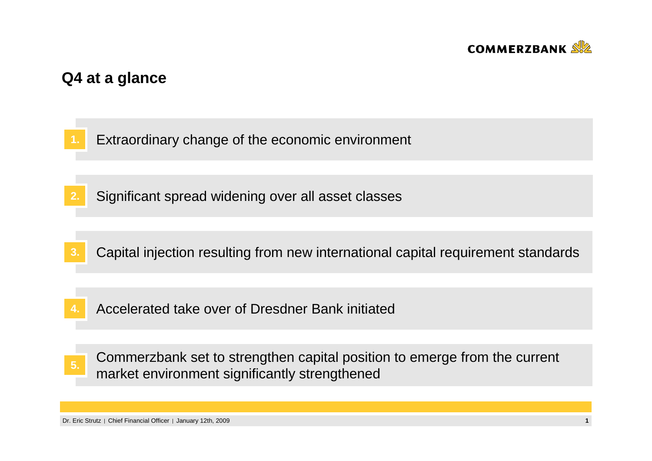

# **Q4 at a glance**

- **1.**Extraordinary change of the economic environment
- **2.**Significant spread widening over all asset classes
- **3.**Capital injection resulting from new international capital requirement standards
- Accelerated take over of Dresdner Bank initiated**4.**
- Commerzbank set to strengthen capital position to emerge from the current market environment significantly strengthened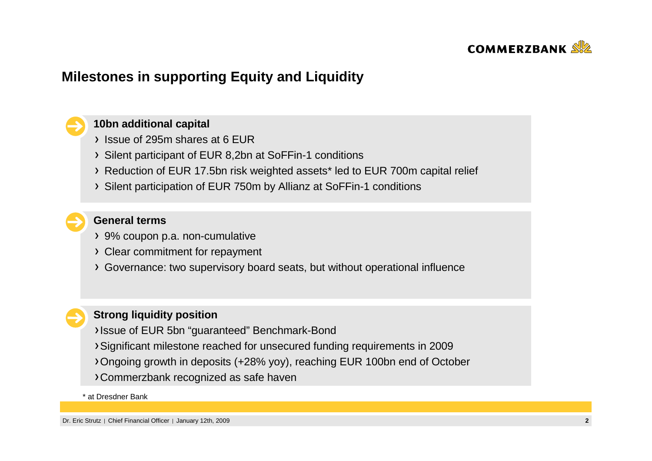

# **Milestones in supporting Equity and Liquidity**

### **10bn additional capital**

- Issue of 295m shares at 6 EUR
- Silent participant of EUR 8,2bn at SoFFin-1 conditions
- Reduction of EUR 17.5bn risk weighted assets\* led to EUR 700m capital relief
- Silent participation of EUR 750m by Allianz at SoFFin-1 conditions

# **General terms**

- 9% coupon p.a. non-cumulative
- Clear commitment for repayment
- Governance: two supervisory board seats, but without operational influence

### **Strong liquidity position**

- Issue of EUR 5bn "guaranteed" Benchmark-Bond
- Significant milestone reached for unsecured funding requirements in 2009
- Ongoing growth in deposits (+28% yoy), reaching EUR 100bn end of October
- Commerzbank recognized as safe haven

### \* at Dresdner Bank

Dr. Eric Strutz | Chief Financial Officer | January 12th, 2009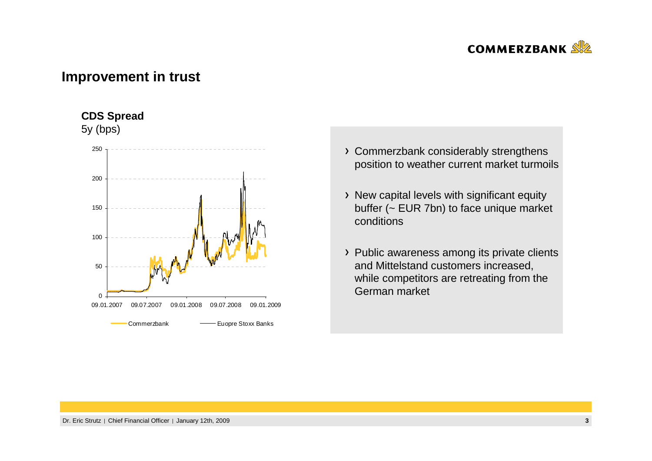

# **Improvement in trust**

### **CDS Spread**

5y (bps)



- Commerzbank considerably strengthens position to weather current market turmoils
- > New capital levels with significant equity buffer (~ EUR 7bn) to face unique market conditions
- > Public awareness among its private clients and Mittelstand customers increased, while competitors are retreating from the German market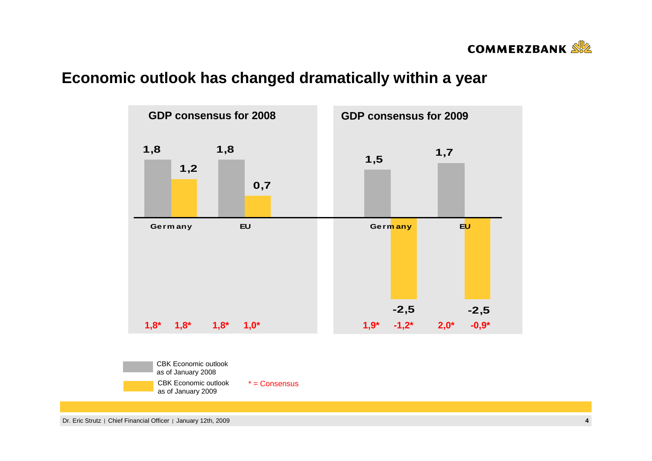

# **Economic outlook has changed dramatically within a year**



Dr. Eric Strutz | Chief Financial Officer | January 12th, 2009 **<sup>4</sup>**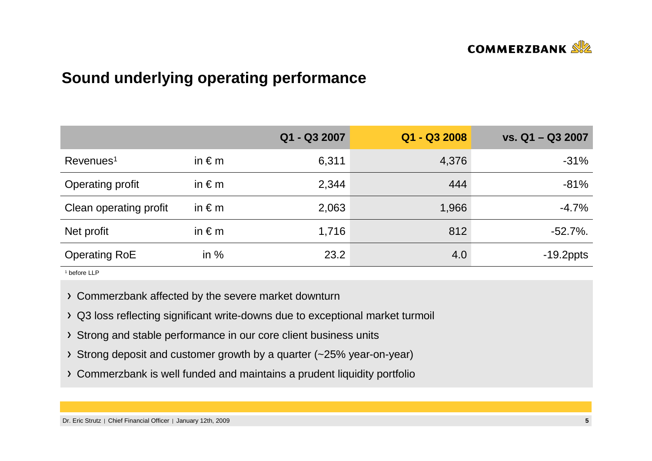

# **Sound underlying operating performance**

|                        |                 | Q1 - Q3 2007 | Q1 - Q3 2008 | vs. Q1 - Q3 2007 |
|------------------------|-----------------|--------------|--------------|------------------|
| Revenues <sup>1</sup>  | in $\epsilon$ m | 6,311        | 4,376        | $-31%$           |
| Operating profit       | in $\epsilon$ m | 2,344        | 444          | $-81%$           |
| Clean operating profit | in $\epsilon$ m | 2,063        | 1,966        | $-4.7%$          |
| Net profit             | in $\epsilon$ m | 1,716        | 812          | $-52.7\%$ .      |
| <b>Operating RoE</b>   | in $%$          | 23.2         | 4.0          | $-19.2$ ppts     |

1 before LLP

Commerzbank affected by the severe market downturn

- Q3 loss reflecting significant write-downs due to exceptional market turmoil
- > Strong and stable performance in our core client business units
- Strong deposit and customer growth by a quarter (~25% year-on-year)
- Commerzbank is well funded and maintains a prudent liquidity portfolio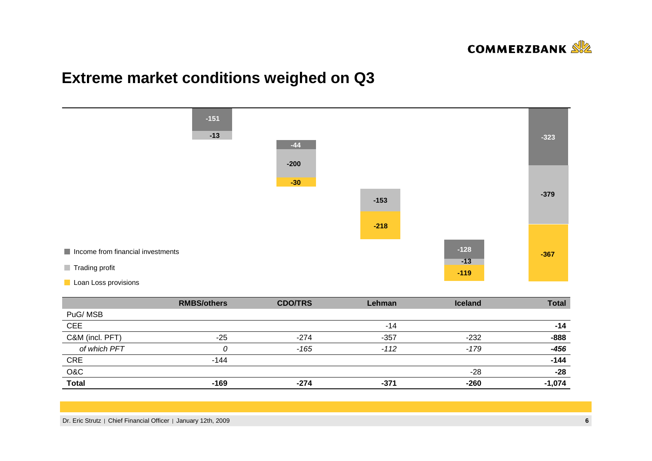

# **Extreme market conditions weighed on Q3**



|                 | <b>RMBS/others</b> | <b>CDO/TRS</b> | Lehman | <b>Iceland</b> | <b>Total</b> |
|-----------------|--------------------|----------------|--------|----------------|--------------|
| PuG/MSB         |                    |                |        |                |              |
| <b>CEE</b>      |                    |                | $-14$  |                | -14          |
| C&M (incl. PFT) | $-25$              | $-274$         | $-357$ | $-232$         | $-888$       |
| of which PFT    |                    | $-165$         | $-112$ | -179           | $-456$       |
| <b>CRE</b>      | $-144$             |                |        |                | $-144$       |
| O&C             |                    |                |        | -28            | $-28$        |
| <b>Total</b>    | $-169$             | $-274$         | $-371$ | $-260$         | $-1,074$     |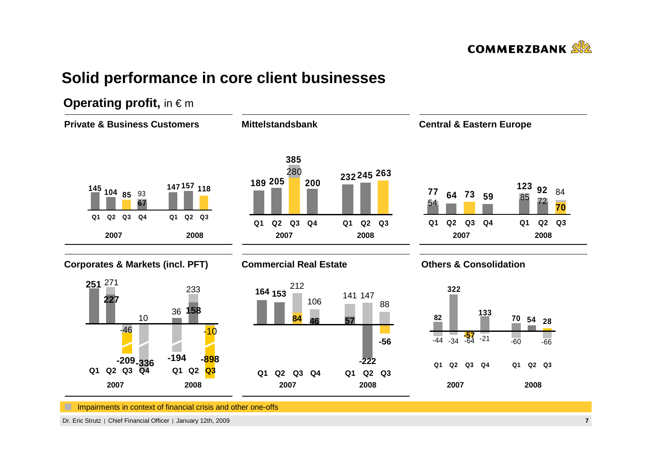

# **Solid performance in core client businesses**

# **Operating profit, in € m**



Dr. Eric Strutz | Chief Financial Officer | January 12th, 2009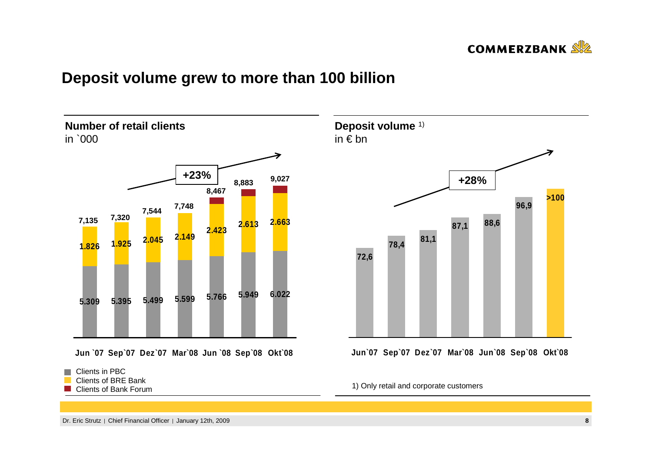

# **Deposit volume grew to more than 100 billion**





**Jun`07 Sep`07 Dez`07 Mar`08 Jun`08 Sep`08 Okt`08**

1) Only retail and corporate customers

**Deposit volume** 1)

in € bn

 Clients of BRE BankClients of Bank Forum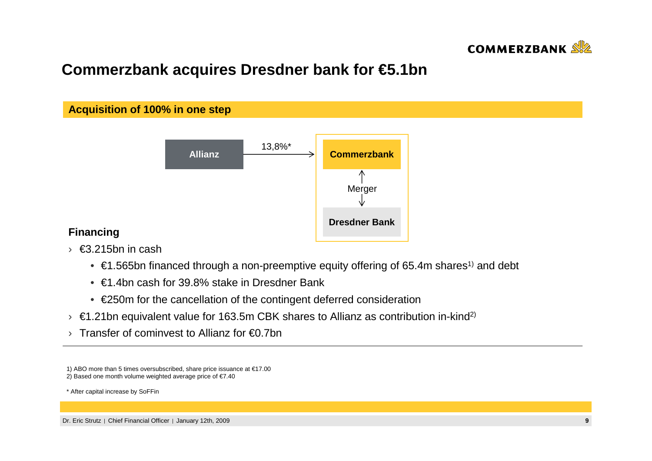

# **Commerzbank acquires Dresdner bank for €5.1bn**



### **Financing**

- › €3.215bn in cash
	- $\bullet \in$  €1.565bn financed through a non-preemptive equity offering of 65.4m shares<sup>1)</sup> and debt
	- €1.4bn cash for 39.8% stake in Dresdner Bank
	- €250m for the cancellation of the contingent deferred consideration
- $\rightarrow$  €1.21bn equivalent value for 163.5m CBK shares to Allianz as contribution in-kind<sup>2)</sup>
- › Transfer of cominvest to Allianz for €0.7bn

2) Based one month volume weighted average price of €7.40

\* After capital increase by SoFFin

<sup>1)</sup> ABO more than 5 times oversubscribed, share price issuance at €17.00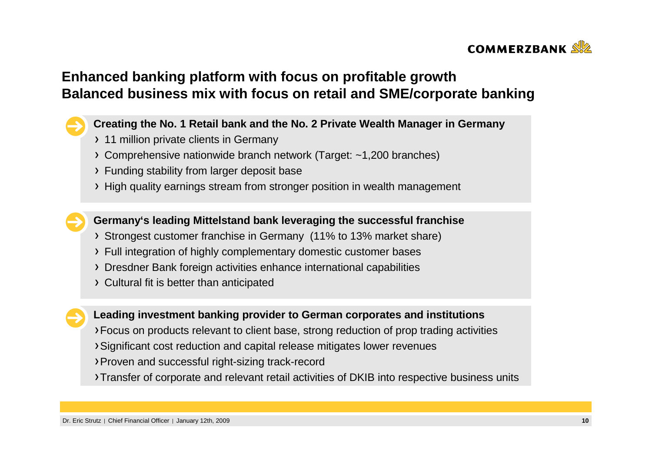

# **Enhanced banking platform with focus on profitable growth Balanced business mix with focus on retail and SME/corporate banking**

### **Creating the No. 1 Retail bank and the No. 2 Private Wealth Manager in Germany**

- > 11 million private clients in Germany
- Comprehensive nationwide branch network (Target: ~1,200 branches)
- Funding stability from larger deposit base
- High quality earnings stream from stronger position in wealth management

**Germany's leading Mittelstand bank leveraging the successful franchise**

- Strongest customer franchise in Germany (11% to 13% market share)
- Full integration of highly complementary domestic customer bases
- Dresdner Bank foreign activities enhance international capabilities
- Cultural fit is better than anticipated



### **Leading investment banking provider to German corporates and institutions**

- Focus on products relevant to client base, strong reduction of prop trading activities
- Significant cost reduction and capital release mitigates lower revenues
- Proven and successful right-sizing track-record
- Transfer of corporate and relevant retail activities of DKIB into respective business units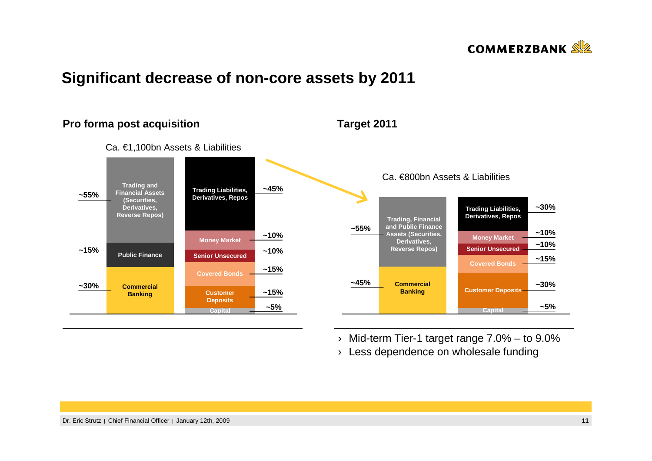

# **Significant decrease of non-core assets by 2011**



› Mid-term Tier-1 target range 7.0% – to 9.0%

 $\rightarrow$  Less dependence on wholesale funding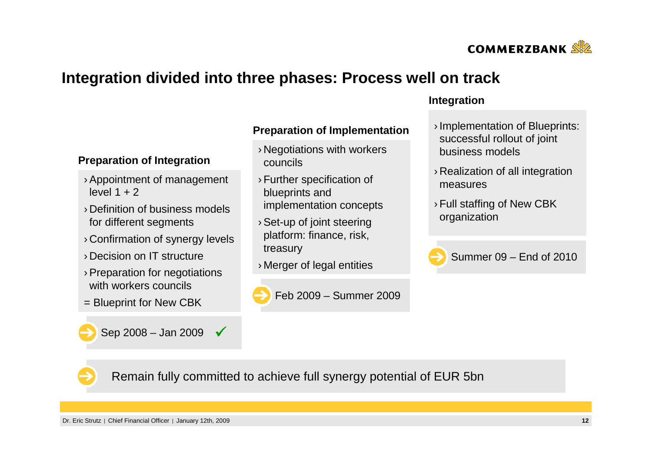

# **Integration divided into three phases: Process well on track**

### **Preparation of Implementation**

- › Negotiations with workers councils
- › Further specification of blueprints and implementation concepts
- › Set-up of joint steering platform: finance, risk, treasury
- › Merger of legal entities



### **Integration**

- › Implementation of Blueprints: successful rollout of joint business models
- › Realization of all integration measures
- › Full staffing of New CBK organization



Summer 09 – End of 2010

# **Preparation of Integration**

- › Appointment of management level  $1 + 2$
- › Definition of business models for different segments
- › Confirmation of synergy levels
- › Decision on IT structure
- › Preparation for negotiations with workers councils
- = Blueprint for New CBK

Sep 2008 – Jan 2009  $\sqrt{ }$ 

Remain fully committed to achieve full synergy potential of EUR 5bn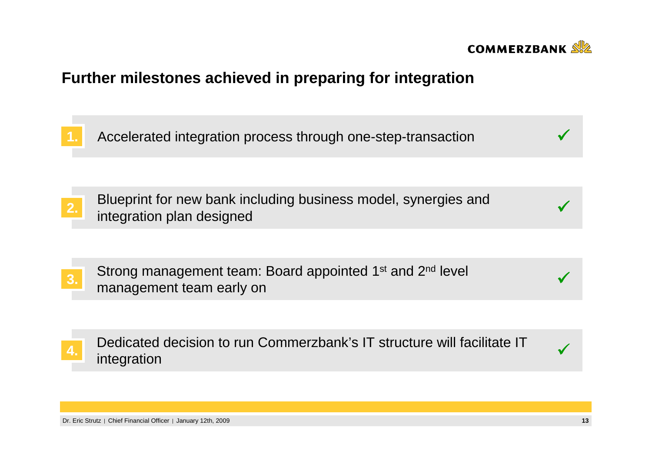

# **Further milestones achieved in preparing for integration**

**1.** Accelerated integration process through one-step-transaction $\overline{\phantom{a}}$  and  $\overline{\phantom{a}}$ 

Blueprint for new bank including business model, synergies and2. Bideptificion plan designed<br>integration plan designed

Strong management team: Board appointed 1<sup>st</sup> and 2<sup>nd</sup> level 3. Shong management team. Board appointed T and 2 never and 2 never and 2 never and 2 never and 3.

Dedicated decision to run Commerzbank's IT structure will facilitate IT integration4. be dicated decision to full commercially site structure will radiitate it.

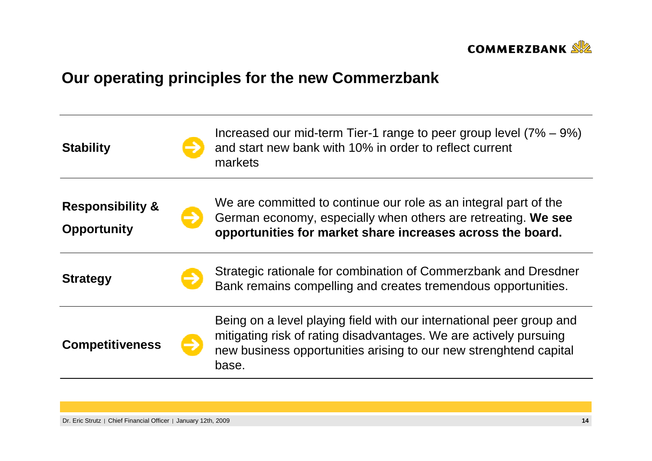

# **Our operating principles for the new Commerzbank**

| <b>Stability</b>                                  | Increased our mid-term Tier-1 range to peer group level $(7\% - 9\%)$<br>and start new bank with 10% in order to reflect current<br>markets                                                                             |
|---------------------------------------------------|-------------------------------------------------------------------------------------------------------------------------------------------------------------------------------------------------------------------------|
| <b>Responsibility &amp;</b><br><b>Opportunity</b> | We are committed to continue our role as an integral part of the<br>German economy, especially when others are retreating. We see<br>opportunities for market share increases across the board.                         |
| <b>Strategy</b>                                   | Strategic rationale for combination of Commerzbank and Dresdner<br>Bank remains compelling and creates tremendous opportunities.                                                                                        |
| <b>Competitiveness</b>                            | Being on a level playing field with our international peer group and<br>mitigating risk of rating disadvantages. We are actively pursuing<br>new business opportunities arising to our new strenghtend capital<br>base. |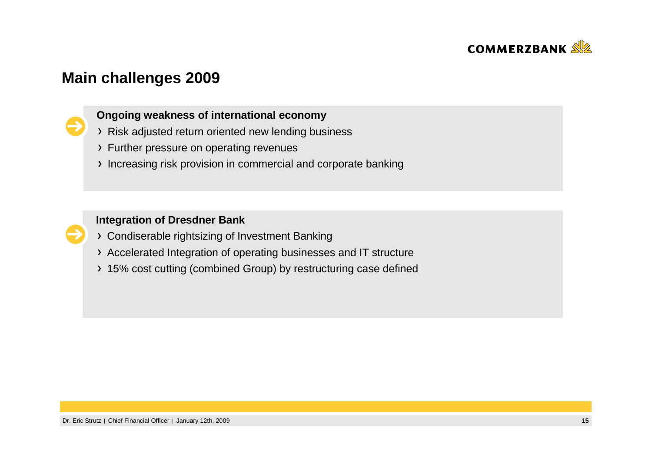

# **Main challenges 2009**



## **Ongoing weakness of international economy**

- Risk adjusted return oriented new lending business
- Further pressure on operating revenues
- Increasing risk provision in commercial and corporate banking

### **Integration of Dresdner Bank**

- Condiserable rightsizing of Investment Banking
- Accelerated Integration of operating businesses and IT structure
- 15% cost cutting (combined Group) by restructuring case defined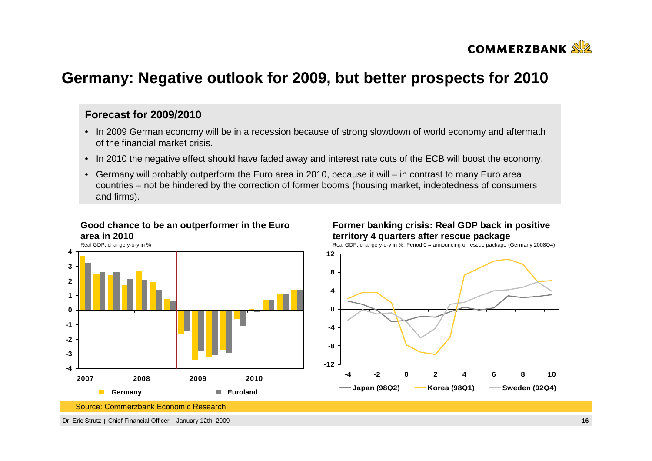

# **Germany: Negative outlook for 2009, but better prospects for 2010**

### **Forecast for 2009/2010**

- In 2009 German economy will be in a recession because of strong slowdown of world economy and aftermath of the financial market crisis.
- In 2010 the negative effect should have faded away and interest rate cuts of the ECB will boost the economy.
- Germany will probably outperform the Euro area in 2010, because it will in contrast to many Euro area countries – not be hindered by the correction of former booms (housing market, indebtedness of consumers and firms).

### **Good chance to be an outperformer in the Euro area in 2010**



### **Former banking crisis: Real GDP back in positive territory 4 quarters after rescue package**

Real GDP, change y-o-y in %, Period 0 = announcing of rescue package (Germany 2008Q4)



Source: Commerzbank Economic Research

Dr. Eric Strutz | Chief Financial Officer | January 12th, 2009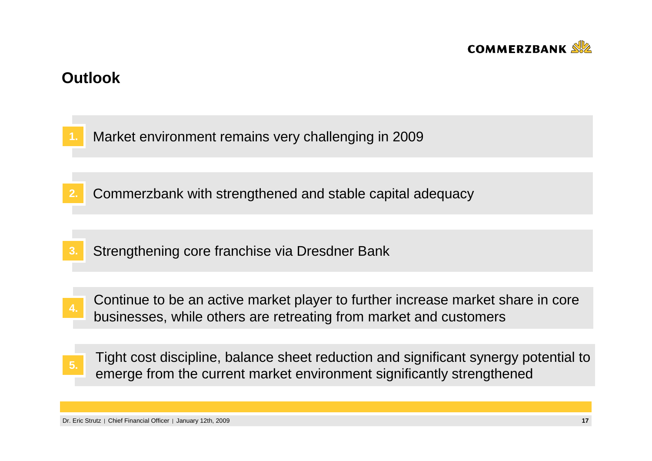

# **Outlook**

**3.**

**1.**Market environment remains very challenging in 2009

- **2.** Commerzbank with strengthened and stable capital adequacy
	- Strengthening core franchise via Dresdner Bank
- Continue to be an active market player to further increase market share in core businesses, while others are retreating from market and customers **4.**
- Tight cost discipline, balance sheet reduction and significant synergy potential to Examples and the current market environment significantly strengthened emerge from the current market environment significantly strengthened

Dr. Eric Strutz | Chief Financial Officer | January 12th, 2009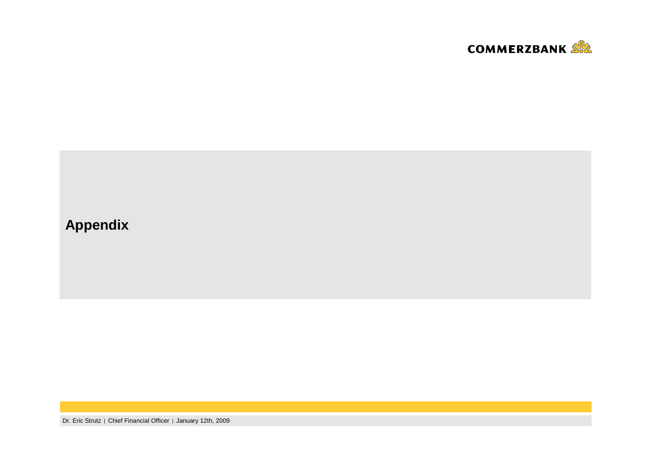

# **Appendix**

Dr. Eric Strutz | Chief Financial Officer | January 12th, 2009 **<sup>18</sup>**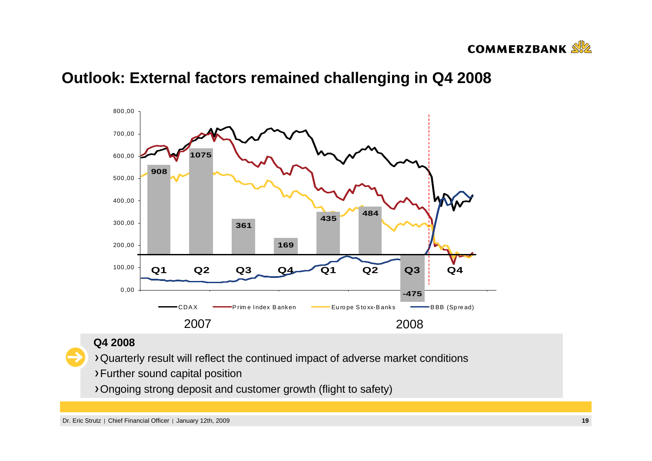

# **Outlook: External factors remained challenging in Q4 2008**



### **Q4 2008**

Quarterly result will reflect the continued impact of adverse market conditions

- Further sound capital position
- Ongoing strong deposit and customer growth (flight to safety)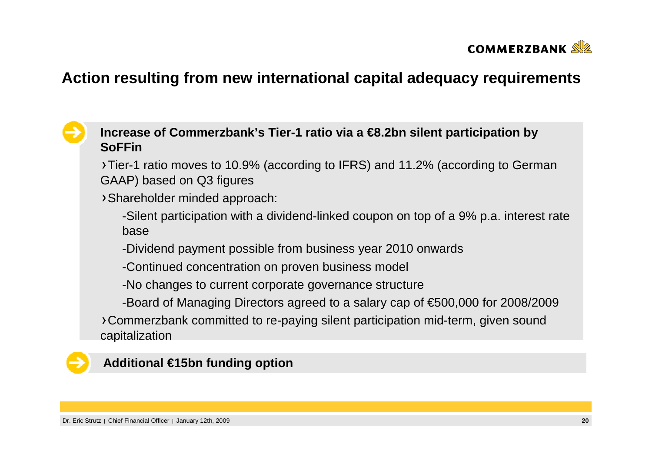

# **Action resulting from new international capital adequacy requirements**

# **Increase of Commerzbank's Tier-1 ratio via a €8.2bn silent participation by SoFFin**

 Tier-1 ratio moves to 10.9% (according to IFRS) and 11.2% (according to German GAAP) based on Q3 figures

Shareholder minded approach:

-Silent participation with a dividend-linked coupon on top of a 9% p.a. interest rate base

-Dividend payment possible from business year 2010 onwards

-Continued concentration on proven business model

-No changes to current corporate governance structure

-Board of Managing Directors agreed to a salary cap of €500,000 for 2008/2009

Commerzbank committed to re-paying silent participation mid-term, given sound capitalization

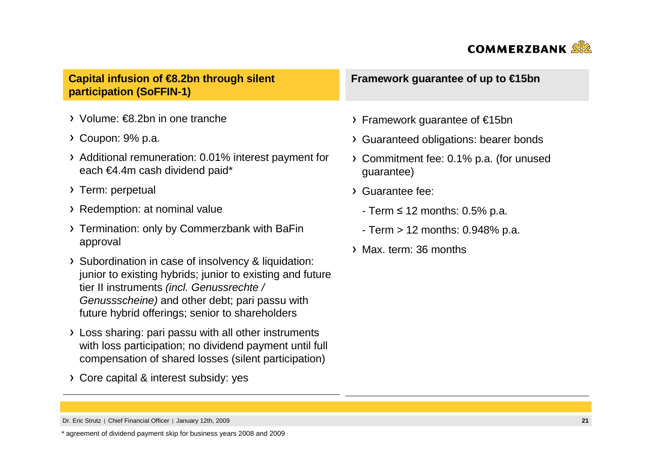

**Capital infusion of €8.2bn through silent participation (SoFFIN-1)**

- Volume: €8.2bn in one tranche
- Coupon: 9% p.a.
- Additional remuneration: 0.01% interest payment foreach €4.4m cash dividend paid\*
- > Term: perpetual
- Redemption: at nominal value
- Termination: only by Commerzbank with BaFinapproval
- > Subordination in case of insolvency & liquidation: junior to existing hybrids; junior to existing and future tier II instruments (incl. Genussrechte / Genussscheine) and other debt; pari passu with future hybrid offerings; senior to shareholders
- Loss sharing: pari passu with all other instruments with loss participation; no dividend payment until full compensation of shared losses (silent participation)
- Core capital & interest subsidy: yes

**Framework guarantee of up to €15bn**

- Framework guarantee of €15bn
- Guaranteed obligations: bearer bonds
- Commitment fee: 0.1% p.a. (for unusedguarantee)
- Guarantee fee:
	- Term <sup>≤</sup> 12 months: 0.5% p.a.
	- Term > 12 months: 0.948% p.a.
- Max. term: 36 months

\* agreement of dividend payment skip for business years 2008 and 2009

Dr. Eric Strutz | Chief Financial Officer | January 12th, 2009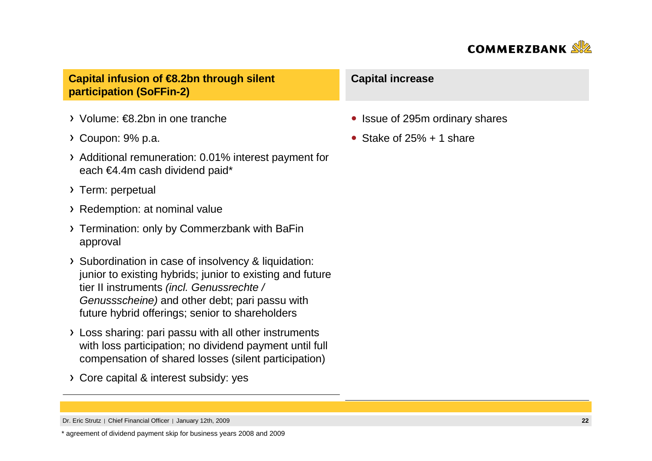

**Capital infusion of €8.2bn through silent participation (SoFFin-2)**

- Volume: €8.2bn in one tranche
- Coupon: 9% p.a.
- Additional remuneration: 0.01% interest payment foreach €4.4m cash dividend paid\*
- > Term: perpetual
- Redemption: at nominal value
- Termination: only by Commerzbank with BaFinapproval
- > Subordination in case of insolvency & liquidation: junior to existing hybrids; junior to existing and future tier II instruments (incl. Genussrechte / Genussscheine) and other debt; pari passu with future hybrid offerings; senior to shareholders
- Loss sharing: pari passu with all other instruments with loss participation; no dividend payment until full compensation of shared losses (silent participation)
- Core capital & interest subsidy: yes

### **Capital increase**

- Issue of 295m ordinary shares
- Stake of  $25% + 1$  share

\* agreement of dividend payment skip for business years 2008 and 2009

Dr. Eric Strutz | Chief Financial Officer | January 12th, 2009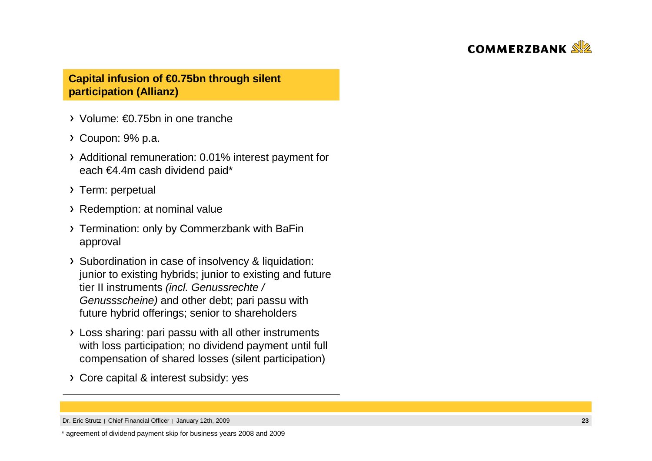

### **Capital infusion of €0.75bn through silent participation (Allianz)**

- Volume: €0.75bn in one tranche
- Coupon: 9% p.a.
- Additional remuneration: 0.01% interest payment foreach €4.4m cash dividend paid\*
- > Term: perpetual
- Redemption: at nominal value
- Termination: only by Commerzbank with BaFinapproval
- > Subordination in case of insolvency & liquidation: junior to existing hybrids; junior to existing and future tier II instruments (incl. Genussrechte / Genussscheine) and other debt; pari passu with future hybrid offerings; senior to shareholders
- Loss sharing: pari passu with all other instruments with loss participation; no dividend payment until full compensation of shared losses (silent participation)
- Core capital & interest subsidy: yes

Dr. Eric Strutz | Chief Financial Officer | January 12th, 2009

<sup>\*</sup> agreement of dividend payment skip for business years 2008 and 2009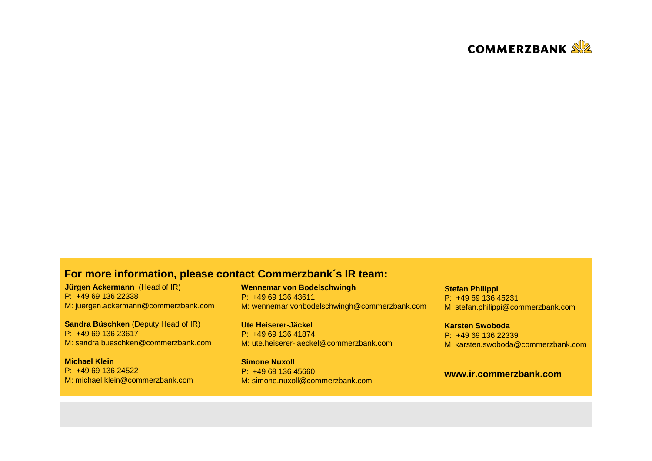

### **For more information, please contact Commerzbank´s IR team:**

**Jürgen Ackermann** (Head of IR) P: +49 69 136 22338M: juergen.ackermann@commerzbank.com

**Sandra Büschken** (Deputy Head of IR) P: +49 69 136 23617M: sandra.bueschken@commerzbank.com

**Michael Klein** P: +49 69 136 24522M: michael.klein@commerzbank.com **Wennemar von Bodelschwingh**P: +49 69 136 43611M: wennemar.vonbodelschwingh@commerzbank.com

**Ute Heiserer-Jäckel** P: +49 69 136 41874M: ute.heiserer-jaeckel@commerzbank.com

**Simone Nuxoll** P: +49 69 136 45660M: simone.nuxoll@commerzbank.com **Stefan Philippi** P: +49 69 136 45231M: stefan.philippi@commerzbank.com

**Karsten Swoboda** P: +49 69 136 22339M: karsten.swoboda@commerzbank.com

### **www.ir.commerzbank.com**